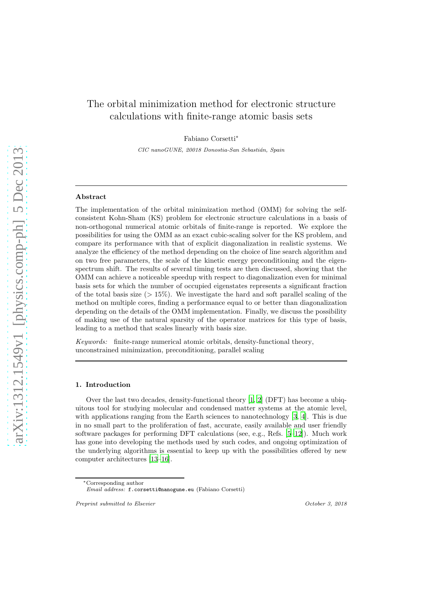# The orbital minimization method for electronic structure calculations with finite-range atomic basis sets

Fabiano Corsetti<sup>∗</sup>

CIC nanoGUNE, 20018 Donostia-San Sebastián, Spain

# Abstract

The implementation of the orbital minimization method (OMM) for solving the selfconsistent Kohn-Sham (KS) problem for electronic structure calculations in a basis of non-orthogonal numerical atomic orbitals of finite-range is reported. We explore the possibilities for using the OMM as an exact cubic-scaling solver for the KS problem, and compare its performance with that of explicit diagonalization in realistic systems. We analyze the efficiency of the method depending on the choice of line search algorithm and on two free parameters, the scale of the kinetic energy preconditioning and the eigenspectrum shift. The results of several timing tests are then discussed, showing that the OMM can achieve a noticeable speedup with respect to diagonalization even for minimal basis sets for which the number of occupied eigenstates represents a significant fraction of the total basis size  $(>15\%)$ . We investigate the hard and soft parallel scaling of the method on multiple cores, finding a performance equal to or better than diagonalization depending on the details of the OMM implementation. Finally, we discuss the possibility of making use of the natural sparsity of the operator matrices for this type of basis, leading to a method that scales linearly with basis size.

*Keywords:* finite-range numerical atomic orbitals, density-functional theory, unconstrained minimization, preconditioning, parallel scaling

## 1. Introduction

Over the last two decades, density-functional theory [\[1](#page-19-0), [2](#page-19-1)] (DFT) has become a ubiquitous tool for studying molecular and condensed matter systems at the atomic level, with applications ranging from the Earth sciences to nanotechnology [\[3,](#page-19-2) [4\]](#page-19-3). This is due in no small part to the proliferation of fast, accurate, easily available and user friendly software packages for performing DFT calculations (see, e.g., Refs. [\[5](#page-19-4)[–12\]](#page-20-0)). Much work has gone into developing the methods used by such codes, and ongoing optimization of the underlying algorithms is essential to keep up with the possibilities offered by new computer architectures [\[13–](#page-20-1)[16\]](#page-20-2).

<sup>∗</sup>Corresponding author

Email address: f.corsetti@nanogune.eu (Fabiano Corsetti)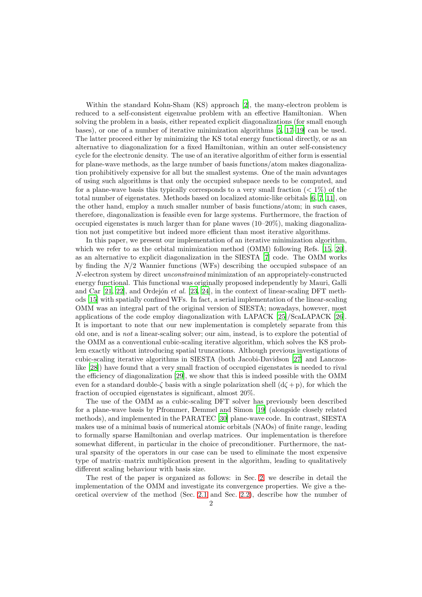Within the standard Kohn-Sham (KS) approach [\[2](#page-19-1)], the many-electron problem is reduced to a self-consistent eigenvalue problem with an effective Hamiltonian. When solving the problem in a basis, either repeated explicit diagonalizations (for small enough bases), or one of a number of iterative minimization algorithms [\[5,](#page-19-4) [17](#page-20-3)[–19\]](#page-20-4) can be used. The latter proceed either by minimizing the KS total energy functional directly, or as an alternative to diagonalization for a fixed Hamiltonian, within an outer self-consistency cycle for the electronic density. The use of an iterative algorithm of either form is essential for plane-wave methods, as the large number of basis functions/atom makes diagonalization prohibitively expensive for all but the smallest systems. One of the main advantages of using such algorithms is that only the occupied subspace needs to be computed, and for a plane-wave basis this typically corresponds to a very small fraction  $(< 1\%)$  of the total number of eigenstates. Methods based on localized atomic-like orbitals [\[6](#page-19-5), [7,](#page-20-5) [11](#page-20-6)], on the other hand, employ a much smaller number of basis functions/atom; in such cases, therefore, diagonalization is feasible even for large systems. Furthermore, the fraction of occupied eigenstates is much larger than for plane waves (10–20%), making diagonalization not just competitive but indeed more efficient than most iterative algorithms.

In this paper, we present our implementation of an iterative minimization algorithm, which we refer to as the orbital minimization method (OMM) following Refs. [\[15,](#page-20-7) [20](#page-20-8)], as an alternative to explicit diagonalization in the SIESTA [\[7](#page-20-5)] code. The OMM works by finding the N/2 Wannier functions (WFs) describing the occupied subspace of an N-electron system by direct *unconstrained* minimization of an appropriately-constructed energy functional. This functional was originally proposed independently by Mauri, Galli and Car [\[21,](#page-20-9) [22\]](#page-20-10), and Ordejon *et al.* [\[23,](#page-20-11) [24](#page-20-12)], in the context of linear-scaling DFT methods [\[15](#page-20-7)] with spatially confined WFs. In fact, a serial implementation of the linear-scaling OMM was an integral part of the original version of SIESTA; nowadays, however, most applications of the code employ diagonalization with LAPACK [\[25](#page-20-13)]/ScaLAPACK [\[26](#page-20-14)]. It is important to note that our new implementation is completely separate from this old one, and is *not* a linear-scaling solver; our aim, instead, is to explore the potential of the OMM as a conventional cubic-scaling iterative algorithm, which solves the KS problem exactly without introducing spatial truncations. Although previous investigations of cubic-scaling iterative algorithms in SIESTA (both Jacobi-Davidson [\[27](#page-21-0)] and Lanczoslike [\[28](#page-21-1)]) have found that a very small fraction of occupied eigenstates is needed to rival the efficiency of diagonalization [\[29](#page-21-2)], we show that this is indeed possible with the OMM even for a standard double- $\zeta$  basis with a single polarization shell  $(d\zeta + p)$ , for which the fraction of occupied eigenstates is significant, almost 20%.

The use of the OMM as a cubic-scaling DFT solver has previously been described for a plane-wave basis by Pfrommer, Demmel and Simon [\[19](#page-20-4)] (alongside closely related methods), and implemented in the PARATEC [\[30\]](#page-21-3) plane-wave code. In contrast, SIESTA makes use of a minimal basis of numerical atomic orbitals (NAOs) of finite range, leading to formally sparse Hamiltonian and overlap matrices. Our implementation is therefore somewhat different, in particular in the choice of preconditioner. Furthermore, the natural sparsity of the operators in our case can be used to eliminate the most expensive type of matrix–matrix multiplication present in the algorithm, leading to qualitatively different scaling behaviour with basis size.

The rest of the paper is organized as follows: in Sec. [2,](#page-2-0) we describe in detail the implementation of the OMM and investigate its convergence properties. We give a theoretical overview of the method (Sec. [2.1](#page-2-1) and Sec. [2.2\)](#page-3-0), describe how the number of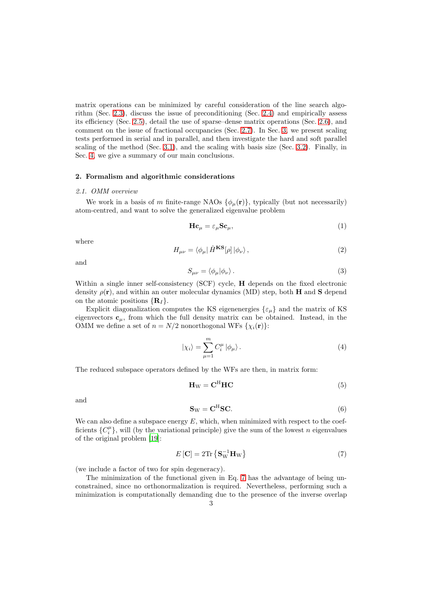matrix operations can be minimized by careful consideration of the line search algorithm (Sec. [2.3\)](#page-4-0), discuss the issue of preconditioning (Sec. [2.4\)](#page-5-0) and empirically assess its efficiency (Sec. [2.5\)](#page-6-0), detail the use of sparse–dense matrix operations (Sec. [2.6\)](#page-10-0), and comment on the issue of fractional occupancies (Sec. [2.7\)](#page-11-0). In Sec. [3,](#page-11-1) we present scaling tests performed in serial and in parallel, and then investigate the hard and soft parallel scaling of the method (Sec. [3.1\)](#page-14-0), and the scaling with basis size (Sec. [3.2\)](#page-17-0). Finally, in Sec. [4,](#page-19-6) we give a summary of our main conclusions.

## <span id="page-2-1"></span><span id="page-2-0"></span>2. Formalism and algorithmic considerations

## *2.1. OMM overview*

We work in a basis of m finite-range NAOs  $\{\phi_u(\mathbf{r})\}$ , typically (but not necessarily) atom-centred, and want to solve the generalized eigenvalue problem

<span id="page-2-3"></span>
$$
\mathbf{Hc}_{\mu} = \varepsilon_{\mu} \mathbf{Sc}_{\mu},\tag{1}
$$

where

$$
H_{\mu\nu} = \langle \phi_{\mu} | \hat{H}^{\text{KS}}[\rho] | \phi_{\nu} \rangle, \qquad (2)
$$

and

$$
S_{\mu\nu} = \langle \phi_{\mu} | \phi_{\nu} \rangle. \tag{3}
$$

Within a single inner self-consistency (SCF) cycle, **H** depends on the fixed electronic density  $\rho(\mathbf{r})$ , and within an outer molecular dynamics (MD) step, both **H** and **S** depend on the atomic positions  $\{R_I\}.$ 

Explicit diagonalization computes the KS eigenenergies  $\{\varepsilon_{\mu}\}\$  and the matrix of KS eigenvectors  $\mathbf{c}_{\mu}$ , from which the full density matrix can be obtained. Instead, in the OMM we define a set of  $n = N/2$  nonorthogonal WFs  $\{\chi_i(\mathbf{r})\}$ :

$$
|\chi_i\rangle = \sum_{\mu=1}^{m} C_i^{\mu} | \phi_{\mu} \rangle.
$$
 (4)

The reduced subspace operators defined by the WFs are then, in matrix form:

$$
\mathbf{H}_{\mathrm{W}} = \mathbf{C}^{\mathrm{H}} \mathbf{H} \mathbf{C} \tag{5}
$$

and

$$
\mathbf{S}_{\mathrm{W}} = \mathbf{C}^{\mathrm{H}} \mathbf{S} \mathbf{C}.\tag{6}
$$

We can also define a subspace energy  $E$ , which, when minimized with respect to the coefficients  $\{C_i^{\mu}\}\$ , will (by the variational principle) give the sum of the lowest n eigenvalues of the original problem [\[19](#page-20-4)]:

<span id="page-2-2"></span>
$$
E\left[\mathbf{C}\right] = 2\mathrm{Tr}\left\{\mathbf{S}_{\mathrm{W}}^{-1}\mathbf{H}_{\mathrm{W}}\right\} \tag{7}
$$

(we include a factor of two for spin degeneracy).

The minimization of the functional given in Eq. [7](#page-2-2) has the advantage of being unconstrained, since no orthonormalization is required. Nevertheless, performing such a minimization is computationally demanding due to the presence of the inverse overlap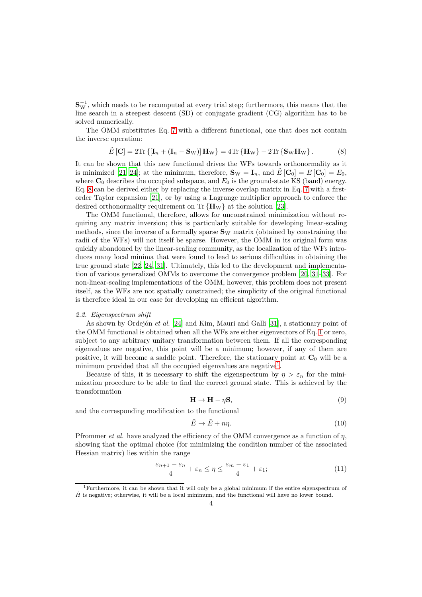${\bf S}_{\rm W}^{-1}$ , which needs to be recomputed at every trial step; furthermore, this means that the line search in a steepest descent (SD) or conjugate gradient (CG) algorithm has to be solved numerically.

The OMM substitutes Eq. [7](#page-2-2) with a different functional, one that does not contain the inverse operation:

<span id="page-3-1"></span>
$$
\tilde{E}[\mathbf{C}] = 2\mathrm{Tr}\left\{ \left[\mathbf{I}_n + (\mathbf{I}_n - \mathbf{S}_W)\right] \mathbf{H}_W \right\} = 4\mathrm{Tr}\left\{ \mathbf{H}_W \right\} - 2\mathrm{Tr}\left\{ \mathbf{S}_W \mathbf{H}_W \right\}.
$$
 (8)

It can be shown that this new functional drives the WFs towards orthonormality as it is minimized [\[21](#page-20-9)[–24\]](#page-20-12); at the minimum, therefore,  $\mathbf{S}_{\mathrm{W}} = \mathbf{I}_n$ , and  $\hat{E}[\mathbf{C}_0] = E[\mathbf{C}_0] = E_0$ , where  $\mathbf{C}_0$  describes the occupied subspace, and  $E_0$  is the ground-state KS (band) energy. Eq. [8](#page-3-1) can be derived either by replacing the inverse overlap matrix in Eq. [7](#page-2-2) with a firstorder Taylor expansion [\[21\]](#page-20-9), or by using a Lagrange multiplier approach to enforce the desired orthonormality requirement on  $\text{Tr}\left\{\mathbf{H}_{\text{W}}\right\}$  at the solution [\[23\]](#page-20-11).

The OMM functional, therefore, allows for unconstrained minimization without requiring any matrix inversion; this is particularly suitable for developing linear-scaling methods, since the inverse of a formally sparse  $S_W$  matrix (obtained by constraining the radii of the WFs) will not itself be sparse. However, the OMM in its original form was quickly abandoned by the linear-scaling community, as the localization of the WFs introduces many local minima that were found to lead to serious difficulties in obtaining the true ground state [\[22,](#page-20-10) [24,](#page-20-12) [31\]](#page-21-4). Ultimately, this led to the development and implementation of various generalized OMMs to overcome the convergence problem [\[20,](#page-20-8) [31](#page-21-4)[–33\]](#page-21-5). For non-linear-scaling implementations of the OMM, however, this problem does not present itself, as the WFs are not spatially constrained; the simplicity of the original functional is therefore ideal in our case for developing an efficient algorithm.

# <span id="page-3-0"></span>*2.2. Eigenspectrum shift*

As shown by Ordejón *et al.* [\[24\]](#page-20-12) and Kim, Mauri and Galli [\[31](#page-21-4)], a stationary point of the OMM functional is obtained when all the WFs are either eigenvectors of Eq. [1](#page-2-3) or zero, subject to any arbitrary unitary transformation between them. If all the corresponding eigenvalues are negative, this point will be a minimum; however, if any of them are positive, it will become a saddle point. Therefore, the stationary point at  $C_0$  will be a minimum provided that all the occupied eigenvalues are negative<sup>[1](#page-3-2)</sup>.

Because of this, it is necessary to shift the eigenspectrum by  $\eta > \varepsilon_n$  for the minimization procedure to be able to find the correct ground state. This is achieved by the transformation

$$
\mathbf{H} \to \mathbf{H} - \eta \mathbf{S},\tag{9}
$$

and the corresponding modification to the functional

$$
\tilde{E} \to \tilde{E} + n\eta. \tag{10}
$$

Pfrommer *et al.* have analyzed the efficiency of the OMM convergence as a function of  $\eta$ , showing that the optimal choice (for minimizing the condition number of the associated Hessian matrix) lies within the range

<span id="page-3-3"></span>
$$
\frac{\varepsilon_{n+1} - \varepsilon_n}{4} + \varepsilon_n \le \eta \le \frac{\varepsilon_m - \varepsilon_1}{4} + \varepsilon_1; \tag{11}
$$

<span id="page-3-2"></span><sup>1</sup>Furthermore, it can be shown that it will only be a global minimum if the entire eigenspectrum of  $\hat{H}$  is negative; otherwise, it will be a local minimum, and the functional will have no lower bound.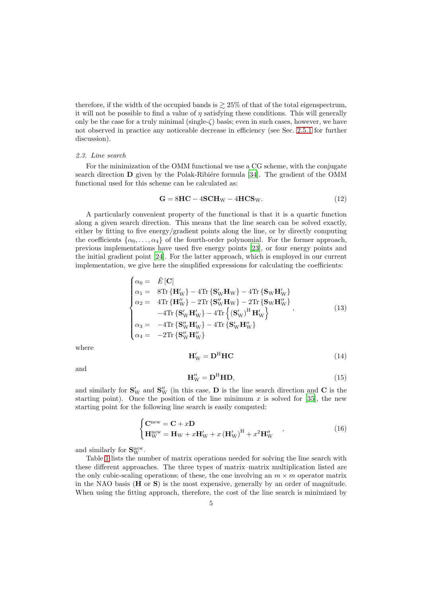therefore, if the width of the occupied bands is  $\geq 25\%$  of that of the total eigenspectrum, it will not be possible to find a value of  $\eta$  satisfying these conditions. This will generally only be the case for a truly minimal (single- $\zeta$ ) basis; even in such cases, however, we have not observed in practice any noticeable decrease in efficiency (see Sec. [2.5.1](#page-6-1) for further discussion).

#### <span id="page-4-0"></span>*2.3. Line search*

For the minimization of the OMM functional we use a CG scheme, with the conjugate search direction  $D$  given by the Polak-Ribiére formula [\[34](#page-21-6)]. The gradient of the OMM functional used for this scheme can be calculated as:

<span id="page-4-1"></span>
$$
G = 8HC - 4SCH_W - 4HCS_W.
$$
 (12)

A particularly convenient property of the functional is that it is a quartic function along a given search direction. This means that the line search can be solved exactly, either by fitting to five energy/gradient points along the line, or by directly computing the coefficients  $\{\alpha_0, \ldots, \alpha_4\}$  of the fourth-order polynomial. For the former approach, previous implementations have used five energy points [\[23](#page-20-11)], or four energy points and the initial gradient point [\[24\]](#page-20-12). For the latter approach, which is employed in our current implementation, we give here the simplified expressions for calculating the coefficients:

$$
\begin{cases}\n\alpha_0 = \tilde{E}[\mathbf{C}] \\
\alpha_1 = 8 \text{Tr} \left\{ \mathbf{H}_{\mathbf{W}}' \right\} - 4 \text{Tr} \left\{ \mathbf{S}_{\mathbf{W}}' \mathbf{H}_{\mathbf{W}} \right\} - 4 \text{Tr} \left\{ \mathbf{S}_{\mathbf{W}}' \mathbf{H}_{\mathbf{W}}' \right\} \\
\alpha_2 = 4 \text{Tr} \left\{ \mathbf{H}_{\mathbf{W}}'' \right\} - 2 \text{Tr} \left\{ \mathbf{S}_{\mathbf{W}}'' \mathbf{H}_{\mathbf{W}} \right\} - 2 \text{Tr} \left\{ \mathbf{S}_{\mathbf{W}}' \mathbf{H}_{\mathbf{W}}'' \right\} \\
-4 \text{Tr} \left\{ \mathbf{S}_{\mathbf{W}}' \mathbf{H}_{\mathbf{W}}' \right\} - 4 \text{Tr} \left\{ \left( \mathbf{S}_{\mathbf{W}}' \right)^{\text{H}} \mathbf{H}_{\mathbf{W}}' \right\} \\
\alpha_3 = -4 \text{Tr} \left\{ \mathbf{S}_{\mathbf{W}}'' \mathbf{H}_{\mathbf{W}}' \right\} - 4 \text{Tr} \left\{ \mathbf{S}_{\mathbf{W}}' \mathbf{H}_{\mathbf{W}}'' \right\}\n\end{cases},\n\tag{13}
$$

where

and

$$
\mathbf{H}'_{\mathrm{W}} = \mathbf{D}^{\mathrm{H}} \mathbf{H} \mathbf{C} \tag{14}
$$

$$
\mathbf{H}_{\mathrm{W}}^{"} = \mathbf{D}^{\mathrm{H}} \mathbf{H} \mathbf{D},\tag{15}
$$

and similarly for  $S'_W$  and  $S''_W$  (in this case, **D** is the line search direction and **C** is the starting point). Once the position of the line minimum  $x$  is solved for [\[35](#page-21-7)], the new starting point for the following line search is easily computed:

$$
\begin{cases}\n\mathbf{C}^{\text{new}} = \mathbf{C} + x \mathbf{D} \\
\mathbf{H}_{\text{W}}^{\text{new}} = \mathbf{H}_{\text{W}} + x \mathbf{H}_{\text{W}}' + x (\mathbf{H}_{\text{W}}')^{\text{H}} + x^2 \mathbf{H}_{\text{W}}''\n\end{cases} (16)
$$

and similarly for  $S_{W}^{\text{new}}$ .

Table [1](#page-5-1) lists the number of matrix operations needed for solving the line search with these different approaches. The three types of matrix–matrix multiplication listed are the only cubic-scaling operations; of these, the one involving an  $m \times m$  operator matrix in the NAO basis (H or S) is the most expensive, generally by an order of magnitude. When using the fitting approach, therefore, the cost of the line search is minimized by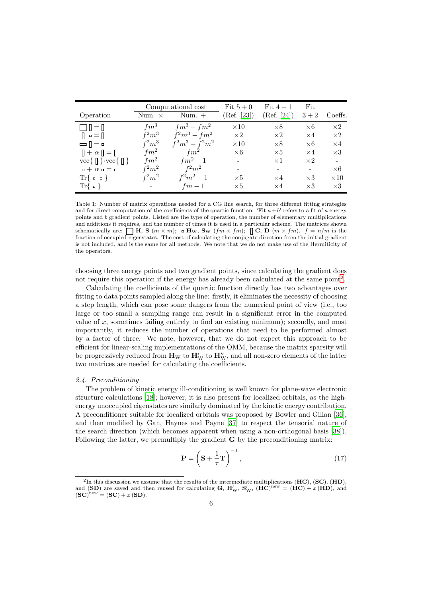|                                                           | Computational cost |                       | Fit $5+0$   | Fit $4+1$   | Fit        |             |
|-----------------------------------------------------------|--------------------|-----------------------|-------------|-------------|------------|-------------|
| Operation                                                 | Num. $\times$      | Num. $+$              | (Ref. [23]) | (Ref. [24]) | $3 + 2$    | Coeffs.     |
| $\Box$ $\Box$ $\Box$                                      | $fm^3$             | $fm^3 - fm^2$         | $\times 10$ | $\times 8$  | $\times 6$ | $\times 2$  |
| $\mathbb{R}^n = \mathbb{R}^n$                             | $f^2m^3$           | $f^{2}m^{3} - fm^{2}$ | $\times 2$  | $\times 2$  | $\times 4$ | $\times 2$  |
| $\Box$ $\Box$ $\Box$                                      | $f^2m^3$           | $f^2m^3 - f^2m^2$     | $\times 10$ | $\times 8$  | $\times 6$ | $\times 4$  |
| $\mathbf{a} + \alpha \mathbf{b} = \mathbf{b}$             | $fm^2$             | $fm^2$                | $\times 6$  | $\times 5$  | $\times 4$ | $\times 3$  |
| $vec\{\mathbf{v}}$   $\cdots$ $\cdots$ $\{ \mathbf{v} \}$ | $fm^2$             | $fm^2-1$              |             | $\times 1$  | $\times 2$ |             |
| $\mathbf{u} + \alpha \mathbf{u} = \mathbf{u}$             | $f^2m^2$           | $f^2m^2$              |             |             |            | $\times 6$  |
| $\text{Tr}\{ \begin{bmatrix} 1 \\ 0 \\ 1 \end{bmatrix}$   | $f^2m^2$           | $f^2m^2-1$            | $\times 5$  | $\times 4$  | $\times 3$ | $\times 10$ |
| $\text{Tr}\{\blacksquare\}$                               |                    | $fm-1$                | $\times 5$  | $\times 4$  | $\times 3$ | $\times 3$  |

<span id="page-5-1"></span>Table 1: Number of matrix operations needed for a CG line search, for three different fitting strategies and for direct computation of the coefficients of the quartic function. 'Fit  $a + b$ ' refers to a fit of a energy points and b gradient points. Listed are the type of operation, the number of elementary multiplications and additions it requires, and the number of times it is used in a particular scheme. The matrices shown schematically are:  $\Box$  H, S  $(m \times m)$ ;  $\Box$  H<sub>W</sub>, S<sub>W</sub>  $(fm \times fm)$ ;  $\Box$  C, D  $(m \times fm)$ .  $f = n/m$  is the fraction of occupied eigenstates. The cost of calculating the conjugate direction from the initial gradient is not included, and is the same for all methods. We note that we do not make use of the Hermiticity of the operators.

choosing three energy points and two gradient points, since calculating the gradient does not require this operation if the energy has already been calculated at the same point<sup>[2](#page-5-2)</sup>.

Calculating the coefficients of the quartic function directly has two advantages over fitting to data points sampled along the line: firstly, it eliminates the necessity of choosing a step length, which can pose some dangers from the numerical point of view (i.e., too large or too small a sampling range can result in a significant error in the computed value of  $x$ , sometimes failing entirely to find an existing minimum); secondly, and most importantly, it reduces the number of operations that need to be performed almost by a factor of three. We note, however, that we do not expect this approach to be efficient for linear-scaling implementations of the OMM, because the matrix sparsity will be progressively reduced from  $\mathbf{H}_{W}$  to  $\mathbf{H}'_{W}$  to  $\mathbf{H}''_{W}$ , and all non-zero elements of the latter two matrices are needed for calculating the coefficients.

#### <span id="page-5-0"></span>*2.4. Preconditioning*

The problem of kinetic energy ill-conditioning is well known for plane-wave electronic structure calculations [\[18](#page-20-15)]; however, it is also present for localized orbitals, as the highenergy unoccupied eigenstates are similarly dominated by the kinetic energy contribution. A preconditioner suitable for localized orbitals was proposed by Bowler and Gillan [\[36](#page-21-8)], and then modified by Gan, Haynes and Payne [\[37\]](#page-21-9) to respect the tensorial nature of the search direction (which becomes apparent when using a non-orthogonal basis [\[38\]](#page-21-10)). Following the latter, we premultiply the gradient G by the preconditioning matrix:

$$
\mathbf{P} = \left(\mathbf{S} + \frac{1}{\tau}\mathbf{T}\right)^{-1},\tag{17}
$$

<span id="page-5-2"></span><sup>&</sup>lt;sup>2</sup>In this discussion we assume that the results of the intermediate multiplications  $(\mathbf{HC}), (\mathbf{SC}), (\mathbf{HD}),$ and (SD) are saved and then reused for calculating G,  $H'_{\text{W}}$ ,  $S'_{\text{W}}$ ,  $(H\text{C})^{\text{new}} = (H\text{C}) + x(H\text{D})$ , and  $(\mathbf{SC})^{\text{new}} = (\mathbf{SC}) + x(\mathbf{SD}).$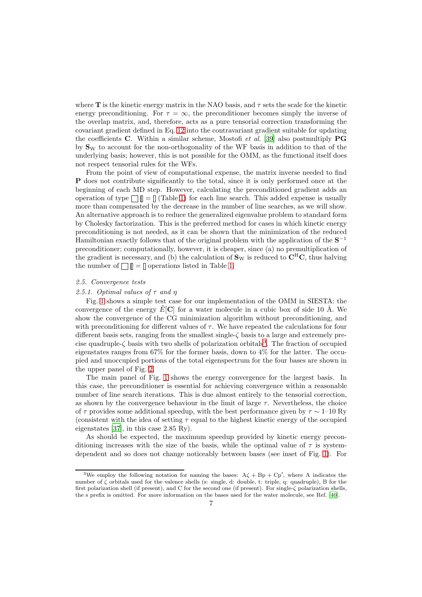where **T** is the kinetic energy matrix in the NAO basis, and  $\tau$  sets the scale for the kinetic energy preconditioning. For  $\tau = \infty$ , the preconditioner becomes simply the inverse of the overlap matrix, and, therefore, acts as a pure tensorial correction transforming the covariant gradient defined in Eq. [12](#page-4-1) into the contravariant gradient suitable for updating the coefficients C. Within a similar scheme, Mostofi *et al.* [\[39](#page-21-11)] also postmultiply PG by  $S_W$  to account for the non-orthogonality of the WF basis in addition to that of the underlying basis; however, this is not possible for the OMM, as the functional itself does not respect tensorial rules for the WFs.

From the point of view of computational expense, the matrix inverse needed to find P does not contribute significantly to the total, since it is only performed once at the beginning of each MD step. However, calculating the preconditioned gradient adds an operation of type = (Table [1\)](#page-5-1) for each line search. This added expense is usually more than compensated by the decrease in the number of line searches, as we will show. An alternative approach is to reduce the generalized eigenvalue problem to standard form by Cholesky factorization. This is the preferred method for cases in which kinetic energy preconditioning is not needed, as it can be shown that the minimization of the reduced Hamiltonian exactly follows that of the original problem with the application of the  $S^{-1}$ preconditioner; computationally, however, it is cheaper, since (a) no premultiplication of the gradient is necessary, and (b) the calculation of  $\mathbf{S}_{\mathrm{W}}$  is reduced to  $\mathbf{C}^{\mathrm{H}}\mathbf{C}$ , thus halving the number of  $\Box$   $\Box$   $\Box$  operations listed in Table [1.](#page-5-1)

#### <span id="page-6-1"></span><span id="page-6-0"></span>*2.5. Convergence tests*

#### *2.5.1. Optimal values of* τ *and* η

Fig. [1](#page-7-0) shows a simple test case for our implementation of the OMM in SIESTA: the convergence of the energy  $\tilde{E}[\mathbf{C}]$  for a water molecule in a cubic box of side 10 Å. We show the convergence of the CG minimization algorithm without preconditioning, and with preconditioning for different values of  $\tau$ . We have repeated the calculations for four different basis sets, ranging from the smallest single- $\zeta$  basis to a large and extremely precise quadruple- $\zeta$  basis with two shells of polarization orbitals<sup>[3](#page-6-2)</sup>. The fraction of occupied eigenstates ranges from 67% for the former basis, down to 4% for the latter. The occupied and unoccupied portions of the total eigenspectrum for the four bases are shown in the upper panel of Fig. [2.](#page-8-0)

The main panel of Fig. [1](#page-7-0) shows the energy convergence for the largest basis. In this case, the preconditioner is essential for achieving convergence within a reasonable number of line search iterations. This is due almost entirely to the tensorial correction, as shown by the convergence behaviour in the limit of large  $\tau$ . Nevertheless, the choice of  $\tau$  provides some additional speedup, with the best performance given by  $\tau \sim 1$ –10 Ry (consistent with the idea of setting  $\tau$  equal to the highest kinetic energy of the occupied eigenstates [\[37\]](#page-21-9), in this case 2.85 Ry).

As should be expected, the maximum speedup provided by kinetic energy preconditioning increases with the size of the basis, while the optimal value of  $\tau$  is systemdependent and so does not change noticeably between bases (see inset of Fig. [1\)](#page-7-0). For

<span id="page-6-2"></span><sup>&</sup>lt;sup>3</sup>We employ the following notation for naming the bases:  $A\zeta + Bp + Cp'$ , where A indicates the number of ζ orbitals used for the valence shells (s: single, d: double, t: triple, q: quadruple), B for the first polarization shell (if present), and C for the second one (if present). For single- $\zeta$  polarization shells, the s prefix is omitted. For more information on the bases used for the water molecule, see Ref. [\[40\]](#page-21-12).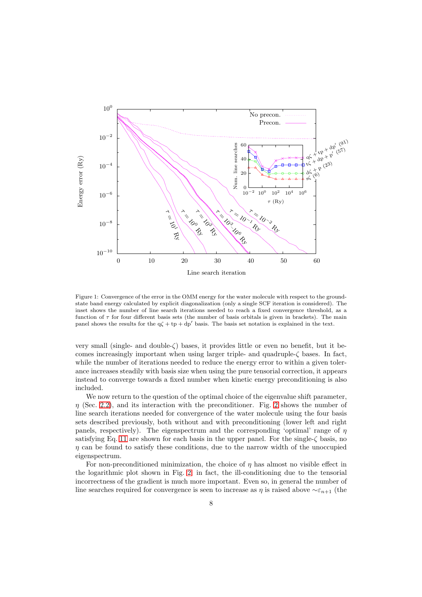

<span id="page-7-0"></span>Figure 1: Convergence of the error in the OMM energy for the water molecule with respect to the groundstate band energy calculated by explicit diagonalization (only a single SCF iteration is considered). The inset shows the number of line search iterations needed to reach a fixed convergence threshold, as a function of  $\tau$  for four different basis sets (the number of basis orbitals is given in brackets). The main panel shows the results for the  $q\zeta + tp + dp'$  basis. The basis set notation is explained in the text.

very small (single- and double-ζ) bases, it provides little or even no benefit, but it becomes increasingly important when using larger triple- and quadruple- $\zeta$  bases. In fact, while the number of iterations needed to reduce the energy error to within a given tolerance increases steadily with basis size when using the pure tensorial correction, it appears instead to converge towards a fixed number when kinetic energy preconditioning is also included.

We now return to the question of the optimal choice of the eigenvalue shift parameter,  $\eta$  (Sec. [2.2\)](#page-3-0), and its interaction with the preconditioner. Fig. [2](#page-8-0) shows the number of line search iterations needed for convergence of the water molecule using the four basis sets described previously, both without and with preconditioning (lower left and right panels, respectively). The eigenspectrum and the corresponding 'optimal' range of  $\eta$ satisfying Eq. [11](#page-3-3) are shown for each basis in the upper panel. For the single-ζ basis, no  $\eta$  can be found to satisfy these conditions, due to the narrow width of the unoccupied eigenspectrum.

For non-preconditioned minimization, the choice of  $\eta$  has almost no visible effect in the logarithmic plot shown in Fig. [2;](#page-8-0) in fact, the ill-conditioning due to the tensorial incorrectness of the gradient is much more important. Even so, in general the number of line searches required for convergence is seen to increase as  $\eta$  is raised above  $\sim \varepsilon_{n+1}$  (the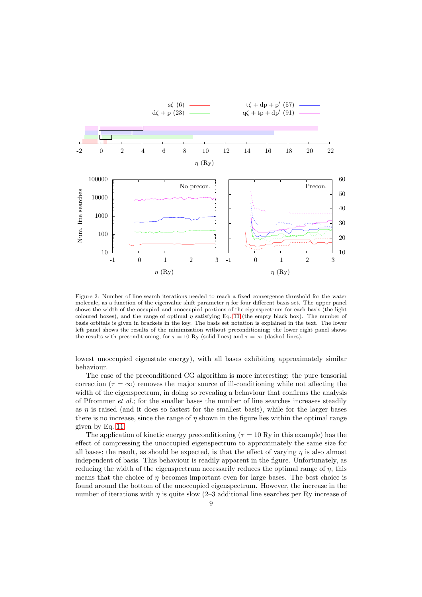

<span id="page-8-0"></span>Figure 2: Number of line search iterations needed to reach a fixed convergence threshold for the water molecule, as a function of the eigenvalue shift parameter  $\eta$  for four different basis set. The upper panel shows the width of the occupied and unoccupied portions of the eigenspectrum for each basis (the light coloured boxes), and the range of optimal  $\eta$  satisfying Eq. [11](#page-3-3) (the empty black box). The number of basis orbitals is given in brackets in the key. The basis set notation is explained in the text. The lower left panel shows the results of the minimization without preconditioning; the lower right panel shows the results with preconditioning, for  $\tau = 10 \text{ Ry}$  (solid lines) and  $\tau = \infty$  (dashed lines).

lowest unoccupied eigenstate energy), with all bases exhibiting approximately similar behaviour.

The case of the preconditioned CG algorithm is more interesting: the pure tensorial correction ( $\tau = \infty$ ) removes the major source of ill-conditioning while not affecting the width of the eigenspectrum, in doing so revealing a behaviour that confirms the analysis of Pfrommer *et al.*; for the smaller bases the number of line searches increases steadily as  $\eta$  is raised (and it does so fastest for the smallest basis), while for the larger bases there is no increase, since the range of  $\eta$  shown in the figure lies within the optimal range given by Eq. [11.](#page-3-3)

The application of kinetic energy preconditioning ( $\tau = 10 \text{ Ry in this example}$ ) has the effect of compressing the unoccupied eigenspectrum to approximately the same size for all bases; the result, as should be expected, is that the effect of varying  $\eta$  is also almost independent of basis. This behaviour is readily apparent in the figure. Unfortunately, as reducing the width of the eigenspectrum necessarily reduces the optimal range of  $\eta$ , this means that the choice of  $\eta$  becomes important even for large bases. The best choice is found around the bottom of the unoccupied eigenspectrum. However, the increase in the number of iterations with  $\eta$  is quite slow (2–3 additional line searches per Ry increase of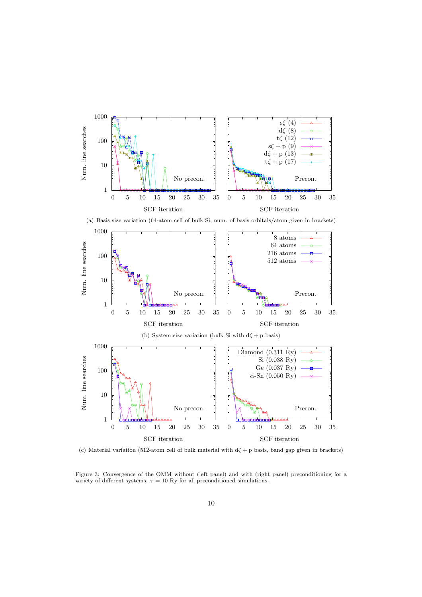

(a) Basis size variation (64-atom cell of bulk Si, num. of basis orbitals/atom given in brackets)



(c) Material variation (512-atom cell of bulk material with  $d\zeta + p$  basis, band gap given in brackets)

<span id="page-9-0"></span>Figure 3: Convergence of the OMM without (left panel) and with (right panel) preconditioning for a variety of different systems.  $\tau = 10$  Ry for all preconditioned simulations.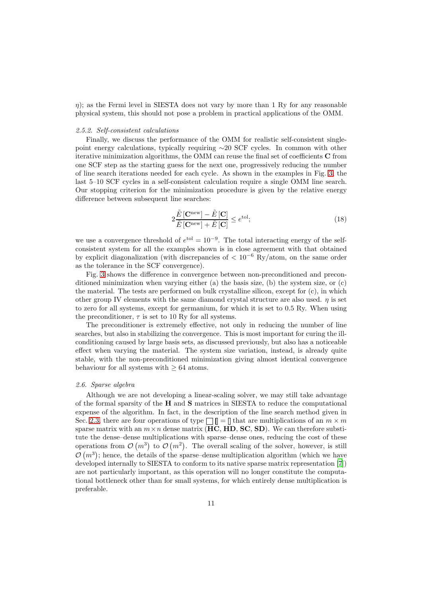$\eta$ ); as the Fermi level in SIESTA does not vary by more than 1 Ry for any reasonable physical system, this should not pose a problem in practical applications of the OMM.

#### <span id="page-10-1"></span>*2.5.2. Self-consistent calculations*

Finally, we discuss the performance of the OMM for realistic self-consistent singlepoint energy calculations, typically requiring ∼20 SCF cycles. In common with other iterative minimization algorithms, the OMM can reuse the final set of coefficients C from one SCF step as the starting guess for the next one, progressively reducing the number of line search iterations needed for each cycle. As shown in the examples in Fig. [3,](#page-9-0) the last 5–10 SCF cycles in a self-consistent calculation require a single OMM line search. Our stopping criterion for the minimization procedure is given by the relative energy difference between subsequent line searches:

$$
2\frac{\tilde{E}\left[\mathbf{C}^{\text{new}}\right] - \tilde{E}\left[\mathbf{C}\right]}{\tilde{E}\left[\mathbf{C}^{\text{new}}\right] + \tilde{E}\left[\mathbf{C}\right]} \le e^{\text{tol}};
$$
\n(18)

we use a convergence threshold of  $e^{tol} = 10^{-9}$ . The total interacting energy of the selfconsistent system for all the examples shown is in close agreement with that obtained by explicit diagonalization (with discrepancies of < 10<sup>−</sup><sup>6</sup> Ry/atom, on the same order as the tolerance in the SCF convergence).

Fig. [3](#page-9-0) shows the difference in convergence between non-preconditioned and preconditioned minimization when varying either (a) the basis size, (b) the system size, or (c) the material. The tests are performed on bulk crystalline silicon, except for  $(c)$ , in which other group IV elements with the same diamond crystal structure are also used.  $\eta$  is set to zero for all systems, except for germanium, for which it is set to 0.5 Ry. When using the preconditioner,  $\tau$  is set to 10 Ry for all systems.

The preconditioner is extremely effective, not only in reducing the number of line searches, but also in stabilizing the convergence. This is most important for curing the illconditioning caused by large basis sets, as discussed previously, but also has a noticeable effect when varying the material. The system size variation, instead, is already quite stable, with the non-preconditioned minimization giving almost identical convergence behaviour for all systems with  $\geq 64$  atoms.

#### <span id="page-10-0"></span>*2.6. Sparse algebra*

Although we are not developing a linear-scaling solver, we may still take advantage of the formal sparsity of the H and S matrices in SIESTA to reduce the computational expense of the algorithm. In fact, in the description of the line search method given in Sec. [2.3,](#page-4-0) there are four operations of type  $\Box$   $\Box$  =  $\Box$  that are multiplications of an  $m \times m$ sparse matrix with an  $m \times n$  dense matrix (HC, HD, SC, SD). We can therefore substitute the dense–dense multiplications with sparse–dense ones, reducing the cost of these operations from  $\mathcal{O}(m^3)$  to  $\mathcal{O}(m^2)$ . The overall scaling of the solver, however, is still  $\mathcal{O}(m^3)$ ; hence, the details of the sparse–dense multiplication algorithm (which we have developed internally to SIESTA to conform to its native sparse matrix representation [\[7](#page-20-5)]) are not particularly important, as this operation will no longer constitute the computational bottleneck other than for small systems, for which entirely dense multiplication is preferable.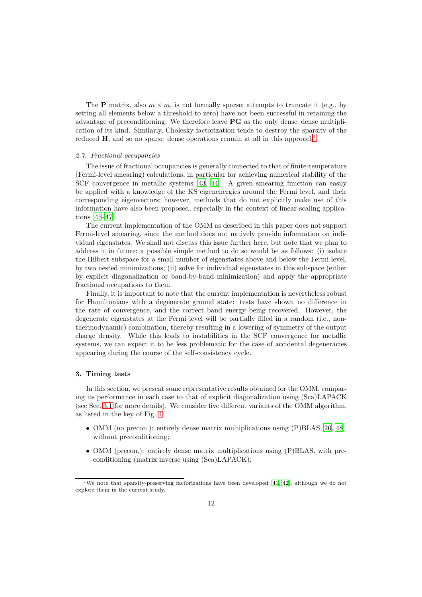The **P** matrix, also  $m \times m$ , is not formally sparse; attempts to truncate it (e.g., by setting all elements below a threshold to zero) have not been successful in retaining the advantage of preconditioning. We therefore leave PG as the only dense–dense multiplication of its kind. Similarly, Cholesky factorization tends to destroy the sparsity of the reduced  $H$ , and so no sparse–dense operations remain at all in this approach<sup>[4](#page-11-2)</sup>.

## <span id="page-11-0"></span>*2.7. Fractional occupancies*

The issue of fractional occupancies is generally connected to that of finite-temperature (Fermi-level smearing) calculations, in particular for achieving numerical stability of the SCF convergence in metallic systems [\[43,](#page-21-13) [44\]](#page-21-14). A given smearing function can easily be applied with a knowledge of the KS eigenenergies around the Fermi level, and their corresponding eigenvectors; however, methods that do not explicitly make use of this information have also been proposed, especially in the context of linear-scaling applications [\[45](#page-21-15)[–47\]](#page-21-16).

The current implementation of the OMM as described in this paper does not support Fermi-level smearing, since the method does not natively provide information on individual eigenstates. We shall not discuss this issue further here, but note that we plan to address it in future; a possible simple method to do so would be as follows: (i) isolate the Hilbert subspace for a small number of eigenstates above and below the Fermi level, by two nested minimizations; (ii) solve for individual eigenstates in this subspace (either by explicit diagonalization or band-by-band minimization) and apply the appropriate fractional occupations to them.

Finally, it is important to note that the current implementation is nevertheless robust for Hamiltonians with a degenerate ground state: tests have shown no difference in the rate of convergence, and the correct band energy being recovered. However, the degenerate eigenstates at the Fermi level will be partially filled in a random (i.e., nonthermodynamic) combination, thereby resulting in a lowering of symmetry of the output charge density. While this leads to instabilities in the SCF convergence for metallic systems, we can expect it to be less problematic for the case of accidental degeneracies appearing during the course of the self-consistency cycle.

# <span id="page-11-1"></span>3. Timing tests

In this section, we present some representative results obtained for the OMM, comparing its performance in each case to that of explicit diagonalization using (Sca)LAPACK (see Sec. [3.1](#page-14-0) for more details). We consider five different variants of the OMM algorithm, as listed in the key of Fig. [4:](#page-12-0)

- OMM (no precon.): entirely dense matrix multiplications using (P)BLAS [\[26](#page-20-14), [48](#page-21-17)], without preconditioning;
- OMM (precon.): entirely dense matrix multiplications using (P)BLAS, with preconditioning (matrix inverse using (Sca)LAPACK);

<span id="page-11-2"></span><sup>&</sup>lt;sup>4</sup>We note that sparsity-preserving factorizations have been developed [\[41,](#page-21-18) [42](#page-21-19)], although we do not explore them in the current study.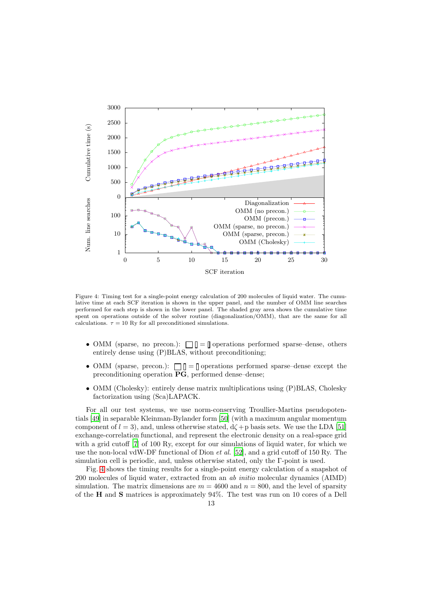

<span id="page-12-0"></span>Figure 4: Timing test for a single-point energy calculation of 200 molecules of liquid water. The cumulative time at each SCF iteration is shown in the upper panel, and the number of OMM line searches performed for each step is shown in the lower panel. The shaded gray area shows the cumulative time spent on operations outside of the solver routine (diagonalization/OMM), that are the same for all calculations.  $\tau = 10$  Ry for all preconditioned simulations.

- OMM (sparse, no precon.):  $\Box$   $\Box$   $\Box$  operations performed sparse–dense, others entirely dense using (P)BLAS, without preconditioning;
- OMM (sparse, precon.):  $\Box$   $\Box$   $\Box$  operations performed sparse–dense except the preconditioning operation PG, performed dense–dense;
- OMM (Cholesky): entirely dense matrix multiplications using (P)BLAS, Cholesky factorization using (Sca)LAPACK.

For all our test systems, we use norm-conserving Troullier-Martins pseudopotentials [\[49\]](#page-21-20) in separable Kleinman-Bylander form [\[50](#page-21-21)] (with a maximum angular momentum component of  $l = 3$ ), and, unless otherwise stated,  $d\zeta + p$  basis sets. We use the LDA [\[51](#page-21-22)] exchange-correlation functional, and represent the electronic density on a real-space grid with a grid cutoff [\[7\]](#page-20-5) of 100 Ry, except for our simulations of liquid water, for which we use the non-local vdW-DF functional of Dion *et al.* [\[52\]](#page-21-23), and a grid cutoff of 150 Ry. The simulation cell is periodic, and, unless otherwise stated, only the Γ-point is used.

Fig. [4](#page-12-0) shows the timing results for a single-point energy calculation of a snapshot of 200 molecules of liquid water, extracted from an *ab initio* molecular dynamics (AIMD) simulation. The matrix dimensions are  $m = 4600$  and  $n = 800$ , and the level of sparsity of the H and S matrices is approximately 94%. The test was run on 10 cores of a Dell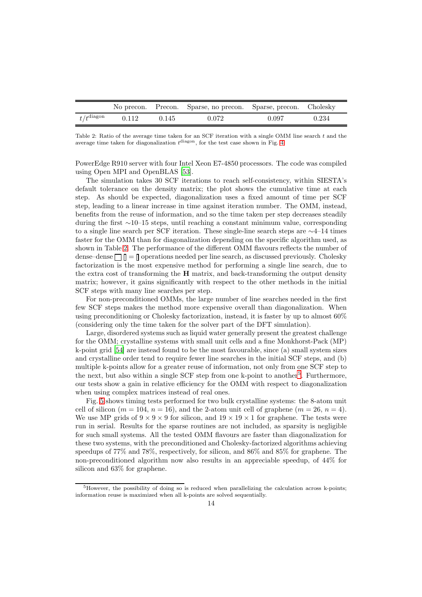|                      |       |       | No precon. Precon. Sparse, no precon. Sparse, precon. Cholesky |       |       |  |
|----------------------|-------|-------|----------------------------------------------------------------|-------|-------|--|
| $t/t^{\rm diagonal}$ | 0.112 | 0.145 | 0.072                                                          | 0.097 | 0.234 |  |

<span id="page-13-0"></span>Table 2: Ratio of the average time taken for an SCF iteration with a single OMM line search t and the average time taken for diagonalization  $t^{\text{diagon}}$ , for the test case shown in Fig. [4.](#page-12-0)

PowerEdge R910 server with four Intel Xeon E7-4850 processors. The code was compiled using Open MPI and OpenBLAS [\[53](#page-21-24)].

The simulation takes 30 SCF iterations to reach self-consistency, within SIESTA's default tolerance on the density matrix; the plot shows the cumulative time at each step. As should be expected, diagonalization uses a fixed amount of time per SCF step, leading to a linear increase in time against iteration number. The OMM, instead, benefits from the reuse of information, and so the time taken per step decreases steadily during the first ∼10–15 steps, until reaching a constant minimum value, corresponding to a single line search per SCF iteration. These single-line search steps are ∼4–14 times faster for the OMM than for diagonalization depending on the specific algorithm used, as shown in Table [2.](#page-13-0) The performance of the different OMM flavours reflects the number of dense–dense  $\Box$   $\Box$   $\Box$  operations needed per line search, as discussed previously. Cholesky factorization is the most expensive method for performing a single line search, due to the extra cost of transforming the H matrix, and back-transforming the output density matrix; however, it gains significantly with respect to the other methods in the initial SCF steps with many line searches per step.

For non-preconditioned OMMs, the large number of line searches needed in the first few SCF steps makes the method more expensive overall than diagonalization. When using preconditioning or Cholesky factorization, instead, it is faster by up to almost 60% (considering only the time taken for the solver part of the DFT simulation).

Large, disordered systems such as liquid water generally present the greatest challenge for the OMM; crystalline systems with small unit cells and a fine Monkhorst-Pack (MP) k-point grid [\[54](#page-22-0)] are instead found to be the most favourable, since (a) small system sizes and crystalline order tend to require fewer line searches in the initial SCF steps, and (b) multiple k-points allow for a greater reuse of information, not only from one SCF step to the next, but also within a single SCF step from one k-point to another [5](#page-13-1) . Furthermore, our tests show a gain in relative efficiency for the OMM with respect to diagonalization when using complex matrices instead of real ones.

Fig. [5](#page-14-1) shows timing tests performed for two bulk crystalline systems: the 8-atom unit cell of silicon  $(m = 104, n = 16)$ , and the 2-atom unit cell of graphene  $(m = 26, n = 4)$ . We use MP grids of  $9 \times 9 \times 9$  for silicon, and  $19 \times 19 \times 1$  for graphene. The tests were run in serial. Results for the sparse routines are not included, as sparsity is negligible for such small systems. All the tested OMM flavours are faster than diagonalization for these two systems, with the preconditioned and Cholesky-factorized algorithms achieving speedups of 77% and 78%, respectively, for silicon, and 86% and 85% for graphene. The non-preconditioned algorithm now also results in an appreciable speedup, of 44% for silicon and 63% for graphene.

<span id="page-13-1"></span> $5$ However, the possibility of doing so is reduced when parallelizing the calculation across k-points; information reuse is maximized when all k-points are solved sequentially.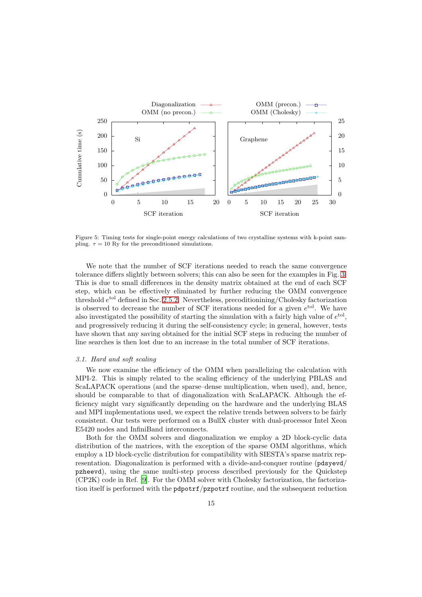

<span id="page-14-1"></span>Figure 5: Timing tests for single-point energy calculations of two crystalline systems with k-point sampling.  $\tau = 10$  Ry for the preconditioned simulations.

We note that the number of SCF iterations needed to reach the same convergence tolerance differs slightly between solvers; this can also be seen for the examples in Fig. [3.](#page-9-0) This is due to small differences in the density matrix obtained at the end of each SCF step, which can be effectively eliminated by further reducing the OMM convergence threshold  $e^{tol}$  defined in Sec. [2.5.2.](#page-10-1) Nevertheless, precoditionining/Cholesky factorization is observed to decrease the number of SCF iterations needed for a given  $e^{tol}$ . We have also investigated the possibility of starting the simulation with a fairly high value of  $e^{tol}$ , and progressively reducing it during the self-consistency cycle; in general, however, tests have shown that any saving obtained for the initial SCF steps in reducing the number of line searches is then lost due to an increase in the total number of SCF iterations.

## <span id="page-14-0"></span>*3.1. Hard and soft scaling*

We now examine the efficiency of the OMM when parallelizing the calculation with MPI-2. This is simply related to the scaling efficiency of the underlying PBLAS and ScaLAPACK operations (and the sparse–dense multiplication, when used), and, hence, should be comparable to that of diagonalization with ScaLAPACK. Although the efficiency might vary significantly depending on the hardware and the underlying BLAS and MPI implementations used, we expect the relative trends between solvers to be fairly consistent. Our tests were performed on a BullX cluster with dual-processor Intel Xeon E5420 nodes and InfiniBand interconnects.

Both for the OMM solvers and diagonalization we employ a 2D block-cyclic data distribution of the matrices, with the exception of the sparse OMM algorithms, which employ a 1D block-cyclic distribution for compatibility with SIESTA's sparse matrix representation. Diagonalization is performed with a divide-and-conquer routine (pdsyevd/ pzheevd), using the same multi-step process described previously for the Quickstep (CP2K) code in Ref. [\[9\]](#page-20-16). For the OMM solver with Cholesky factorization, the factorization itself is performed with the pdpotrf/pzpotrf routine, and the subsequent reduction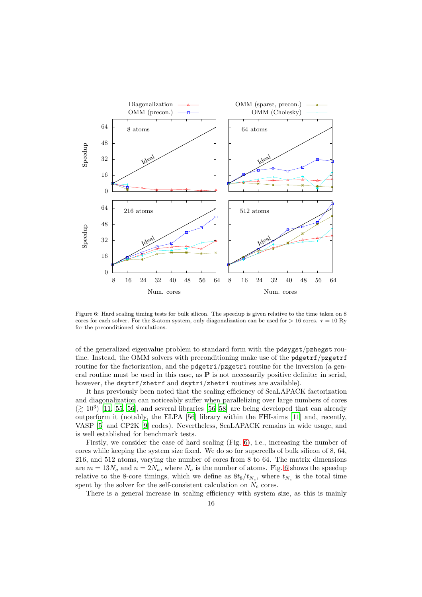

<span id="page-15-0"></span>Figure 6: Hard scaling timing tests for bulk silicon. The speedup is given relative to the time taken on 8 cores for each solver. For the 8-atom system, only diagonalization can be used for  $> 16$  cores.  $\tau = 10$  Ry for the preconditioned simulations.

of the generalized eigenvalue problem to standard form with the pdsygst/pzhegst routine. Instead, the OMM solvers with preconditioning make use of the pdgetrf/pzgetrf routine for the factorization, and the **pdgetri**/**pzgetri** routine for the inversion (a general routine must be used in this case, as P is not necessarily positive definite; in serial, however, the dsytrf/zhetrf and dsytri/zhetri routines are available).

It has previously been noted that the scaling efficiency of ScaLAPACK factorization and diagonalization can noticeably suffer when parallelizing over large numbers of cores  $(\gtrsim 10^3)$  [\[11](#page-20-6), [55,](#page-22-1) [56\]](#page-22-2), and several libraries [\[56](#page-22-2)[–58\]](#page-22-3) are being developed that can already outperform it (notably, the ELPA [\[56\]](#page-22-2) library within the FHI-aims [\[11\]](#page-20-6) and, recently, VASP [\[5\]](#page-19-4) and CP2K [\[9\]](#page-20-16) codes). Nevertheless, ScaLAPACK remains in wide usage, and is well established for benchmark tests.

Firstly, we consider the case of hard scaling (Fig. [6\)](#page-15-0), i.e., increasing the number of cores while keeping the system size fixed. We do so for supercells of bulk silicon of 8, 64, 216, and 512 atoms, varying the number of cores from 8 to 64. The matrix dimensions are  $m = 13N_a$  and  $n = 2N_a$ , where  $N_a$  is the number of atoms. Fig. [6](#page-15-0) shows the speedup relative to the 8-core timings, which we define as  $8t_8/t_{N_c}$ , where  $t_{N_c}$  is the total time spent by the solver for the self-consistent calculation on  $N_c$  cores.

There is a general increase in scaling efficiency with system size, as this is mainly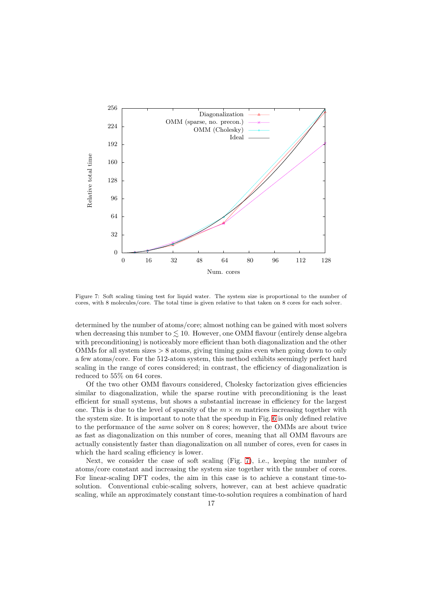

<span id="page-16-0"></span>Figure 7: Soft scaling timing test for liquid water. The system size is proportional to the number of cores, with 8 molecules/core. The total time is given relative to that taken on 8 cores for each solver.

determined by the number of atoms/core; almost nothing can be gained with most solvers when decreasing this number to  $\lesssim$  10. However, one OMM flavour (entirely dense algebra with preconditioning) is noticeably more efficient than both diagonalization and the other OMMs for all system sizes  $> 8$  atoms, giving timing gains even when going down to only a few atoms/core. For the 512-atom system, this method exhibits seemingly perfect hard scaling in the range of cores considered; in contrast, the efficiency of diagonalization is reduced to 55% on 64 cores.

Of the two other OMM flavours considered, Cholesky factorization gives efficiencies similar to diagonalization, while the sparse routine with preconditioning is the least efficient for small systems, but shows a substantial increase in efficiency for the largest one. This is due to the level of sparsity of the  $m \times m$  matrices increasing together with the system size. It is important to note that the speedup in Fig. [6](#page-15-0) is only defined relative to the performance of the *same* solver on 8 cores; however, the OMMs are about twice as fast as diagonalization on this number of cores, meaning that all OMM flavours are actually consistently faster than diagonalization on all number of cores, even for cases in which the hard scaling efficiency is lower.

Next, we consider the case of soft scaling (Fig. [7\)](#page-16-0), i.e., keeping the number of atoms/core constant and increasing the system size together with the number of cores. For linear-scaling DFT codes, the aim in this case is to achieve a constant time-tosolution. Conventional cubic-scaling solvers, however, can at best achieve quadratic scaling, while an approximately constant time-to-solution requires a combination of hard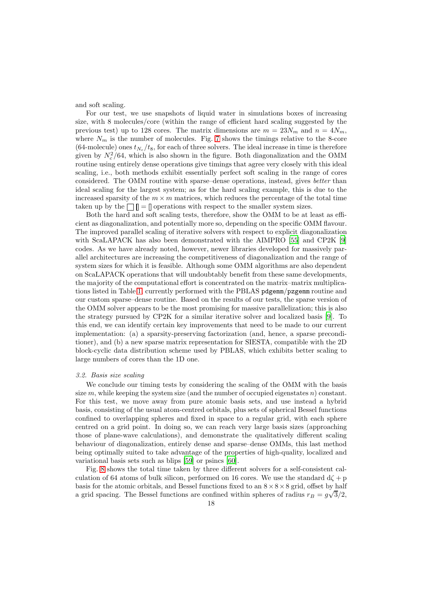and soft scaling.

For our test, we use snapshots of liquid water in simulations boxes of increasing size, with 8 molecules/core (within the range of efficient hard scaling suggested by the previous test) up to 128 cores. The matrix dimensions are  $m = 23N_m$  and  $n = 4N_m$ , where  $N_m$  is the number of molecules. Fig. [7](#page-16-0) shows the timings relative to the 8-core (64-molecule) ones  $t_{N_c}/t_8$ , for each of three solvers. The ideal increase in time is therefore given by  $N_c^2/64$ , which is also shown in the figure. Both diagonalization and the OMM routine using entirely dense operations give timings that agree very closely with this ideal scaling, i.e., both methods exhibit essentially perfect soft scaling in the range of cores considered. The OMM routine with sparse–dense operations, instead, gives *better* than ideal scaling for the largest system; as for the hard scaling example, this is due to the increased sparsity of the  $m \times m$  matrices, which reduces the percentage of the total time taken up by the  $\Box$   $\Box$   $\Box$  operations with respect to the smaller system sizes.

Both the hard and soft scaling tests, therefore, show the OMM to be at least as efficient as diagonalization, and potentially more so, depending on the specific OMM flavour. The improved parallel scaling of iterative solvers with respect to explicit diagonalization with ScaLAPACK has also been demonstrated with the AIMPRO [\[55\]](#page-22-1) and CP2K [\[9](#page-20-16)] codes. As we have already noted, however, newer libraries developed for massively parallel architectures are increasing the competitiveness of diagonalization and the range of system sizes for which it is feasible. Although some OMM algorithms are also dependent on ScaLAPACK operations that will undoubtably benefit from these same developments, the majority of the computational effort is concentrated on the matrix–matrix multiplications listed in Table [1,](#page-5-1) currently performed with the PBLAS pdgemm/pzgemm routine and our custom sparse–dense routine. Based on the results of our tests, the sparse version of the OMM solver appears to be the most promising for massive parallelization; this is also the strategy pursued by CP2K for a similar iterative solver and localized basis [\[9](#page-20-16)]. To this end, we can identify certain key improvements that need to be made to our current implementation: (a) a sparsity-preserving factorization (and, hence, a sparse preconditioner), and (b) a new sparse matrix representation for SIESTA, compatible with the 2D block-cyclic data distribution scheme used by PBLAS, which exhibits better scaling to large numbers of cores than the 1D one.

## <span id="page-17-0"></span>*3.2. Basis size scaling*

We conclude our timing tests by considering the scaling of the OMM with the basis size  $m$ , while keeping the system size (and the number of occupied eigenstates  $n$ ) constant. For this test, we move away from pure atomic basis sets, and use instead a hybrid basis, consisting of the usual atom-centred orbitals, plus sets of spherical Bessel functions confined to overlapping spheres and fixed in space to a regular grid, with each sphere centred on a grid point. In doing so, we can reach very large basis sizes (approaching those of plane-wave calculations), and demonstrate the qualitatively different scaling behaviour of diagonalization, entirely dense and sparse–dense OMMs, this last method being optimally suited to take advantage of the properties of high-quality, localized and variational basis sets such as blips [\[59](#page-22-4)] or psincs [\[60\]](#page-22-5).

Fig. [8](#page-18-0) shows the total time taken by three different solvers for a self-consistent calculation of 64 atoms of bulk silicon, performed on 16 cores. We use the standard  $d\zeta + p$ basis for the atomic orbitals, and Bessel functions fixed to an  $8 \times 8 \times 8$  grid, offset by half a grid spacing. The Bessel functions are confined within spheres of radius  $r_B = g\sqrt{3}/2$ ,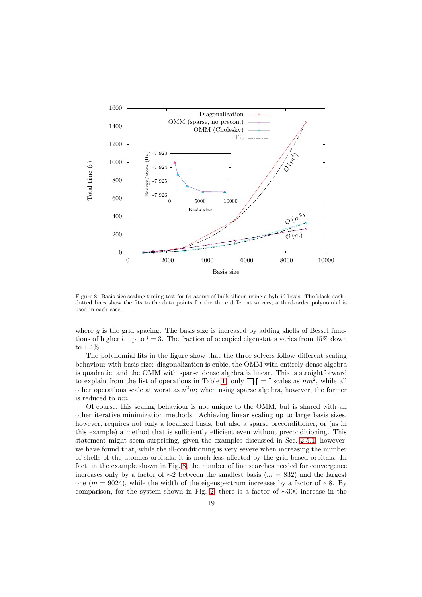

<span id="page-18-0"></span>Figure 8: Basis size scaling timing test for 64 atoms of bulk silicon using a hybrid basis. The black dash– dotted lines show the fits to the data points for the three different solvers; a third-order polynomial is used in each case.

where  $g$  is the grid spacing. The basis size is increased by adding shells of Bessel functions of higher l, up to  $l = 3$ . The fraction of occupied eigenstates varies from 15% down to 1.4%.

The polynomial fits in the figure show that the three solvers follow different scaling behaviour with basis size: diagonalization is cubic, the OMM with entirely dense algebra is quadratic, and the OMM with sparse–dense algebra is linear. This is straightforward to explain from the list of operations in Table [1:](#page-5-1) only  $\Box \Box \Box = \Box$  scales as  $nm^2$ , while all other operations scale at worst as  $n^2m$ ; when using sparse algebra, however, the former is reduced to nm.

Of course, this scaling behaviour is not unique to the OMM, but is shared with all other iterative minimization methods. Achieving linear scaling up to large basis sizes, however, requires not only a localized basis, but also a sparse preconditioner, or (as in this example) a method that is sufficiently efficient even without preconditioning. This statement might seem surprising, given the examples discussed in Sec. [2.5.1;](#page-6-1) however, we have found that, while the ill-conditioning is very severe when increasing the number of shells of the atomics orbitals, it is much less affected by the grid-based orbitals. In fact, in the example shown in Fig. [8,](#page-18-0) the number of line searches needed for convergence increases only by a factor of ∼2 between the smallest basis  $(m = 832)$  and the largest one (m = 9024), while the width of the eigenspectrum increases by a factor of  $\sim$ 8. By comparison, for the system shown in Fig. [2,](#page-8-0) there is a factor of ∼300 increase in the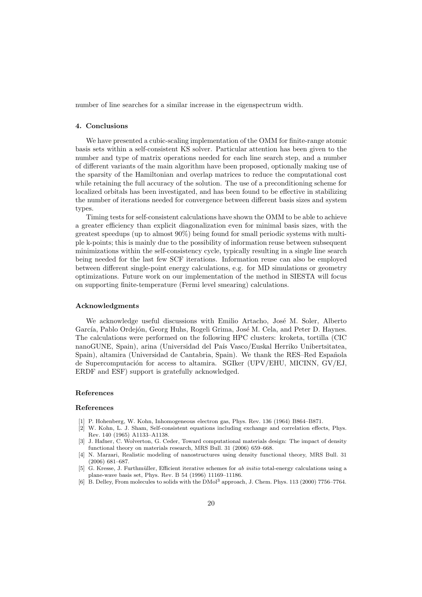number of line searches for a similar increase in the eigenspectrum width.

## <span id="page-19-6"></span>4. Conclusions

We have presented a cubic-scaling implementation of the OMM for finite-range atomic basis sets within a self-consistent KS solver. Particular attention has been given to the number and type of matrix operations needed for each line search step, and a number of different variants of the main algorithm have been proposed, optionally making use of the sparsity of the Hamiltonian and overlap matrices to reduce the computational cost while retaining the full accuracy of the solution. The use of a preconditioning scheme for localized orbitals has been investigated, and has been found to be effective in stabilizing the number of iterations needed for convergence between different basis sizes and system types.

Timing tests for self-consistent calculations have shown the OMM to be able to achieve a greater efficiency than explicit diagonalization even for minimal basis sizes, with the greatest speedups (up to almost 90%) being found for small periodic systems with multiple k-points; this is mainly due to the possibility of information reuse between subsequent minimizations within the self-consistency cycle, typically resulting in a single line search being needed for the last few SCF iterations. Information reuse can also be employed between different single-point energy calculations, e.g. for MD simulations or geometry optimizations. Future work on our implementation of the method in SIESTA will focus on supporting finite-temperature (Fermi level smearing) calculations.

## Acknowledgments

We acknowledge useful discussions with Emilio Artacho, José M. Soler, Alberto García, Pablo Ordejón, Georg Huhs, Rogeli Grima, José M. Cela, and Peter D. Haynes. The calculations were performed on the following HPC clusters: kroketa, tortilla (CIC nanoGUNE, Spain), arina (Universidad del País Vasco/Euskal Herriko Unibertsitatea, Spain), altamira (Universidad de Cantabria, Spain). We thank the RES–Red Española de Supercomputación for access to altamira. SGIker (UPV/EHU, MICINN, GV/EJ, ERDF and ESF) support is gratefully acknowledged.

#### References

#### References

- <span id="page-19-0"></span>[1] P. Hohenberg, W. Kohn, Inhomogeneous electron gas, Phys. Rev. 136 (1964) B864–B871.
- <span id="page-19-1"></span>[2] W. Kohn, L. J. Sham, Self-consistent equations including exchange and correlation effects, Phys. Rev. 140 (1965) A1133–A1138.
- <span id="page-19-2"></span>[3] J. Hafner, C. Wolverton, G. Ceder, Toward computational materials design: The impact of density functional theory on materials research, MRS Bull. 31 (2006) 659–668.
- <span id="page-19-3"></span>[4] N. Marzari, Realistic modeling of nanostructures using density functional theory, MRS Bull. 31 (2006) 681–687.
- <span id="page-19-4"></span>[5] G. Kresse, J. Furthmüller, Efficient iterative schemes for ab *initio* total-energy calculations using a plane-wave basis set, Phys. Rev. B 54 (1996) 11169–11186.
- <span id="page-19-5"></span>[6] B. Delley, From molecules to solids with the DMol<sup>3</sup> approach, J. Chem. Phys. 113 (2000) 7756–7764.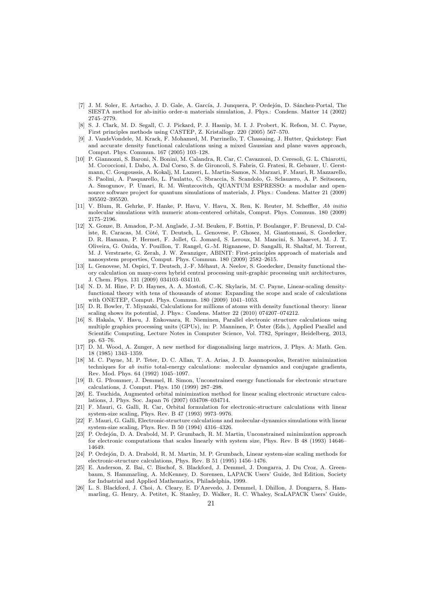- <span id="page-20-5"></span>[7] J. M. Soler, E. Artacho, J. D. Gale, A. García, J. Junquera, P. Ordejón, D. Sánchez-Portal, The SIESTA method for ab-initio order-n materials simulation, J. Phys.: Condens. Matter 14 (2002) 2745–2779.
- [8] S. J. Clark, M. D. Segall, C. J. Pickard, P. J. Hasnip, M. I. J. Probert, K. Refson, M. C. Payne, First principles methods using CASTEP, Z. Kristallogr. 220 (2005) 567–570.
- <span id="page-20-16"></span>[9] J. VandeVondele, M. Krack, F. Mohamed, M. Parrinello, T. Chassaing, J. Hutter, Quickstep: Fast and accurate density functional calculations using a mixed Gaussian and plane waves approach, Comput. Phys. Commun. 167 (2005) 103–128.
- [10] P. Giannozzi, S. Baroni, N. Bonini, M. Calandra, R. Car, C. Cavazzoni, D. Ceresoli, G. L. Chiarotti, M. Cococcioni, I. Dabo, A. Dal Corso, S. de Gironcoli, S. Fabris, G. Fratesi, R. Gebauer, U. Gerstmann, C. Gougoussis, A. Kokalj, M. Lazzeri, L. Martin-Samos, N. Marzari, F. Mauri, R. Mazzarello, S. Paolini, A. Pasquarello, L. Paulatto, C. Sbraccia, S. Scandolo, G. Sclauzero, A. P. Seitsonen, A. Smogunov, P. Umari, R. M. Wentzcovitch, QUANTUM ESPRESSO: a modular and opensource software project for quantum simulations of materials, J. Phys.: Condens. Matter 21 (2009) 395502–395520.
- <span id="page-20-6"></span>[11] V. Blum, R. Gehrke, F. Hanke, P. Havu, V. Havu, X. Ren, K. Reuter, M. Scheffler, Ab initio molecular simulations with numeric atom-centered orbitals, Comput. Phys. Commun. 180 (2009) 2175–2196.
- <span id="page-20-0"></span>[12] X. Gonze, B. Amadon, P.-M. Anglade, J.-M. Beuken, F. Bottin, P. Boulanger, F. Bruneval, D. Caliste, R. Caracas, M. Côté, T. Deutsch, L. Genovese, P. Ghosez, M. Giantomassi, S. Goedecker, D. R. Hamann, P. Hermet, F. Jollet, G. Jomard, S. Leroux, M. Mancini, S. Mazevet, M. J. T. Oliveira, G. Onida, Y. Pouillon, T. Rangel, G.-M. Rignanese, D. Sangalli, R. Shaltaf, M. Torrent, M. J. Verstraete, G. Zerah, J. W. Zwanziger, ABINIT: First-principles approach of materials and nanosystem properties, Comput. Phys. Commun. 180 (2009) 2582–2615.
- <span id="page-20-1"></span>[13] L. Genovese, M. Ospici, T. Deutsch, J.-F. Méhaut, A. Neelov, S. Goedecker, Density functional theory calculation on many-cores hybrid central processing unit-graphic processing unit architectures, J. Chem. Phys. 131 (2009) 034103–034110.
- [14] N. D. M. Hine, P. D. Haynes, A. A. Mostofi, C.-K. Skylaris, M. C. Payne, Linear-scaling densityfunctional theory with tens of thousands of atoms: Expanding the scope and scale of calculations with ONETEP, Comput. Phys. Commun. 180 (2009) 1041–1053.
- <span id="page-20-7"></span>[15] D. R. Bowler, T. Miyazaki, Calculations for millions of atoms with density functional theory: linear scaling shows its potential, J. Phys.: Condens. Matter 22 (2010) 074207–074212.
- <span id="page-20-2"></span>[16] S. Hakala, V. Havu, J. Enkovaara, R. Nieminen, Parallel electronic structure calculations using multiple graphics processing units (GPUs), in: P. Manninen, P. Oster (Eds.), Applied Parallel and ¨ Scientific Computing, Lecture Notes in Computer Science, Vol. 7782, Springer, Heidelberg, 2013, pp. 63–76.
- <span id="page-20-3"></span>[17] D. M. Wood, A. Zunger, A new method for diagonalising large matrices, J. Phys. A: Math. Gen. 18 (1985) 1343–1359.
- <span id="page-20-15"></span>[18] M. C. Payne, M. P. Teter, D. C. Allan, T. A. Arias, J. D. Joannopoulos, Iterative minimization techniques for ab initio total-energy calculations: molecular dynamics and conjugate gradients, Rev. Mod. Phys. 64 (1992) 1045–1097.
- <span id="page-20-4"></span>[19] B. G. Pfrommer, J. Demmel, H. Simon, Unconstrained energy functionals for electronic structure calculations, J. Comput. Phys. 150 (1999) 287–298.
- <span id="page-20-8"></span>[20] E. Tsuchida, Augmented orbital minimization method for linear scaling electronic structure calculations, J. Phys. Soc. Japan 76 (2007) 034708–034714.
- <span id="page-20-9"></span>[21] F. Mauri, G. Galli, R. Car, Orbital formulation for electronic-structure calculations with linear system-size scaling, Phys. Rev. B 47 (1993) 9973–9976.
- <span id="page-20-10"></span>[22] F. Mauri, G. Galli, Electronic-structure calculations and molecular-dynamics simulations with linear system-size scaling, Phys. Rev. B 50 (1994) 4316–4326.
- <span id="page-20-11"></span>[23] P. Ordejón, D. A. Drabold, M. P. Grumbach, R. M. Martin, Unconstrained minimization approach for electronic computations that scales linearly with system size, Phys. Rev. B 48 (1993) 14646– 14649.
- <span id="page-20-12"></span>[24] P. Ordejón, D. A. Drabold, R. M. Martin, M. P. Grumbach, Linear system-size scaling methods for electronic-structure calculations, Phys. Rev. B 51 (1995) 1456–1476.
- <span id="page-20-13"></span>[25] E. Anderson, Z. Bai, C. Bischof, S. Blackford, J. Demmel, J. Dongarra, J. Du Croz, A. Greenbaum, S. Hammarling, A. McKenney, D. Sorensen, LAPACK Users' Guide, 3rd Edition, Society for Industrial and Applied Mathematics, Philadelphia, 1999.
- <span id="page-20-14"></span>[26] L. S. Blackford, J. Choi, A. Cleary, E. D'Azevedo, J. Demmel, I. Dhillon, J. Dongarra, S. Hammarling, G. Henry, A. Petitet, K. Stanley, D. Walker, R. C. Whaley, ScaLAPACK Users' Guide,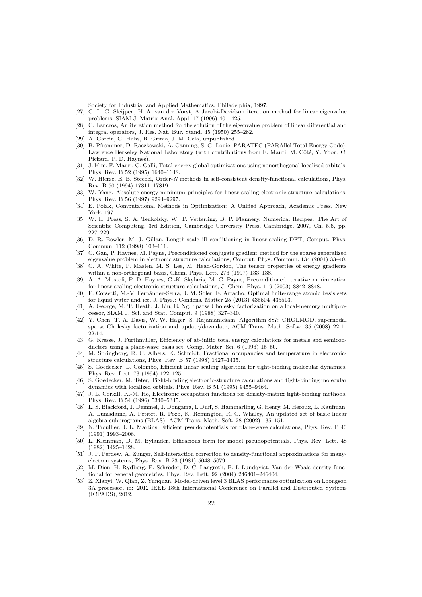Society for Industrial and Applied Mathematics, Philadelphia, 1997.

- <span id="page-21-0"></span>[27] G. L. G. Sleijpen, H. A. van der Vorst, A Jacobi-Davidson iteration method for linear eigenvalue problems, SIAM J. Matrix Anal. Appl. 17 (1996) 401–425.
- <span id="page-21-1"></span>[28] C. Lanczos, An iteration method for the solution of the eigenvalue problem of linear differential and integral operators, J. Res. Nat. Bur. Stand. 45 (1950) 255–282.
- <span id="page-21-2"></span>[29] A. García, G. Huhs, R. Grima, J. M. Cela, unpublished.
- <span id="page-21-3"></span>[30] B. Pfrommer, D. Raczkowski, A. Canning, S. G. Louie, PARATEC (PARAllel Total Energy Code), Lawrence Berkeley National Laboratory (with contributions from F. Mauri, M. Côté, Y. Yoon, C. Pickard, P. D. Haynes).
- <span id="page-21-4"></span>[31] J. Kim, F. Mauri, G. Galli, Total-energy global optimizations using nonorthogonal localized orbitals, Phys. Rev. B 52 (1995) 1640–1648.
- W. Hierse, E. B. Stechel, Order-N methods in self-consistent density-functional calculations, Phys. Rev. B 50 (1994) 17811–17819.
- <span id="page-21-5"></span>[33] W. Yang, Absolute-energy-minimum principles for linear-scaling electronic-structure calculations, Phys. Rev. B 56 (1997) 9294–9297.
- <span id="page-21-6"></span>[34] E. Polak, Computational Methods in Optimization: A Unified Approach, Academic Press, New York, 1971.
- <span id="page-21-7"></span>[35] W. H. Press, S. A. Teukolsky, W. T. Vetterling, B. P. Flannery, Numerical Recipes: The Art of Scientific Computing, 3rd Edition, Cambridge University Press, Cambridge, 2007, Ch. 5.6, pp. 227–229.
- <span id="page-21-8"></span>[36] D. R. Bowler, M. J. Gillan, Length-scale ill conditioning in linear-scaling DFT, Comput. Phys. Commun. 112 (1998) 103–111.
- <span id="page-21-9"></span>[37] C. Gan, P. Haynes, M. Payne, Preconditioned conjugate gradient method for the sparse generalized eigenvalue problem in electronic structure calculations, Comput. Phys. Commun. 134 (2001) 33–40.
- <span id="page-21-10"></span>[38] C. A. White, P. Maslen, M. S. Lee, M. Head-Gordon, The tensor properties of energy gradients within a non-orthogonal basis, Chem. Phys. Lett. 276 (1997) 133–138.
- <span id="page-21-11"></span>[39] A. A. Mostofi, P. D. Haynes, C.-K. Skylaris, M. C. Payne, Preconditioned iterative minimization for linear-scaling electronic structure calculations, J. Chem. Phys. 119 (2003) 8842–8848.
- <span id="page-21-12"></span>[40] F. Corsetti, M.-V. Fernández-Serra, J. M. Soler, E. Artacho, Optimal finite-range atomic basis sets for liquid water and ice, J. Phys.: Condens. Matter 25 (2013) 435504–435513.
- <span id="page-21-18"></span>[41] A. George, M. T. Heath, J. Liu, E. Ng, Sparse Cholesky factorization on a local-memory multiprocessor, SIAM J. Sci. and Stat. Comput. 9 (1988) 327–340.
- <span id="page-21-19"></span>[42] Y. Chen, T. A. Davis, W. W. Hager, S. Rajamanickam, Algorithm 887: CHOLMOD, supernodal sparse Cholesky factorization and update/downdate, ACM Trans. Math. Softw. 35 (2008) 22:1– 22:14.
- <span id="page-21-13"></span>[43] G. Kresse, J. Furthmüller, Efficiency of ab-initio total energy calculations for metals and semiconductors using a plane-wave basis set, Comp. Mater. Sci. 6 (1996) 15–50.
- <span id="page-21-14"></span>[44] M. Springborg, R. C. Albers, K. Schmidt, Fractional occupancies and temperature in electronicstructure calculations, Phys. Rev. B 57 (1998) 1427–1435.
- <span id="page-21-15"></span>[45] S. Goedecker, L. Colombo, Efficient linear scaling algorithm for tight-binding molecular dynamics, Phys. Rev. Lett. 73 (1994) 122–125.
- [46] S. Goedecker, M. Teter, Tight-binding electronic-structure calculations and tight-binding molecular dynamics with localized orbitals, Phys. Rev. B 51 (1995) 9455–9464.
- <span id="page-21-16"></span>[47] J. L. Corkill, K.-M. Ho, Electronic occupation functions for density-matrix tight-binding methods, Phys. Rev. B 54 (1996) 5340–5345.
- <span id="page-21-17"></span>[48] L. S. Blackford, J. Demmel, J. Dongarra, I. Duff, S. Hammarling, G. Henry, M. Heroux, L. Kaufman, A. Lumsdaine, A. Petitet, R. Pozo, K. Remington, R. C. Whaley, An updated set of basic linear algebra subprograms (BLAS), ACM Trans. Math. Soft. 28 (2002) 135–151.
- <span id="page-21-20"></span>[49] N. Troullier, J. L. Martins, Efficient pseudopotentials for plane-wave calculations, Phys. Rev. B 43 (1991) 1993–2006.
- <span id="page-21-21"></span>[50] L. Kleinman, D. M. Bylander, Efficacious form for model pseudopotentials, Phys. Rev. Lett. 48 (1982) 1425–1428.
- <span id="page-21-22"></span>[51] J. P. Perdew, A. Zunger, Self-interaction correction to density-functional approximations for manyelectron systems, Phys. Rev. B 23 (1981) 5048–5079.
- <span id="page-21-23"></span>[52] M. Dion, H. Rydberg, E. Schröder, D. C. Langreth, B. I. Lundqvist, Van der Waals density functional for general geometries, Phys. Rev. Lett. 92 (2004) 246401–246404.
- <span id="page-21-24"></span>[53] Z. Xianyi, W. Qian, Z. Yunquan, Model-driven level 3 BLAS performance optimization on Loongson 3A processor, in: 2012 IEEE 18th International Conference on Parallel and Distributed Systems (ICPADS), 2012.